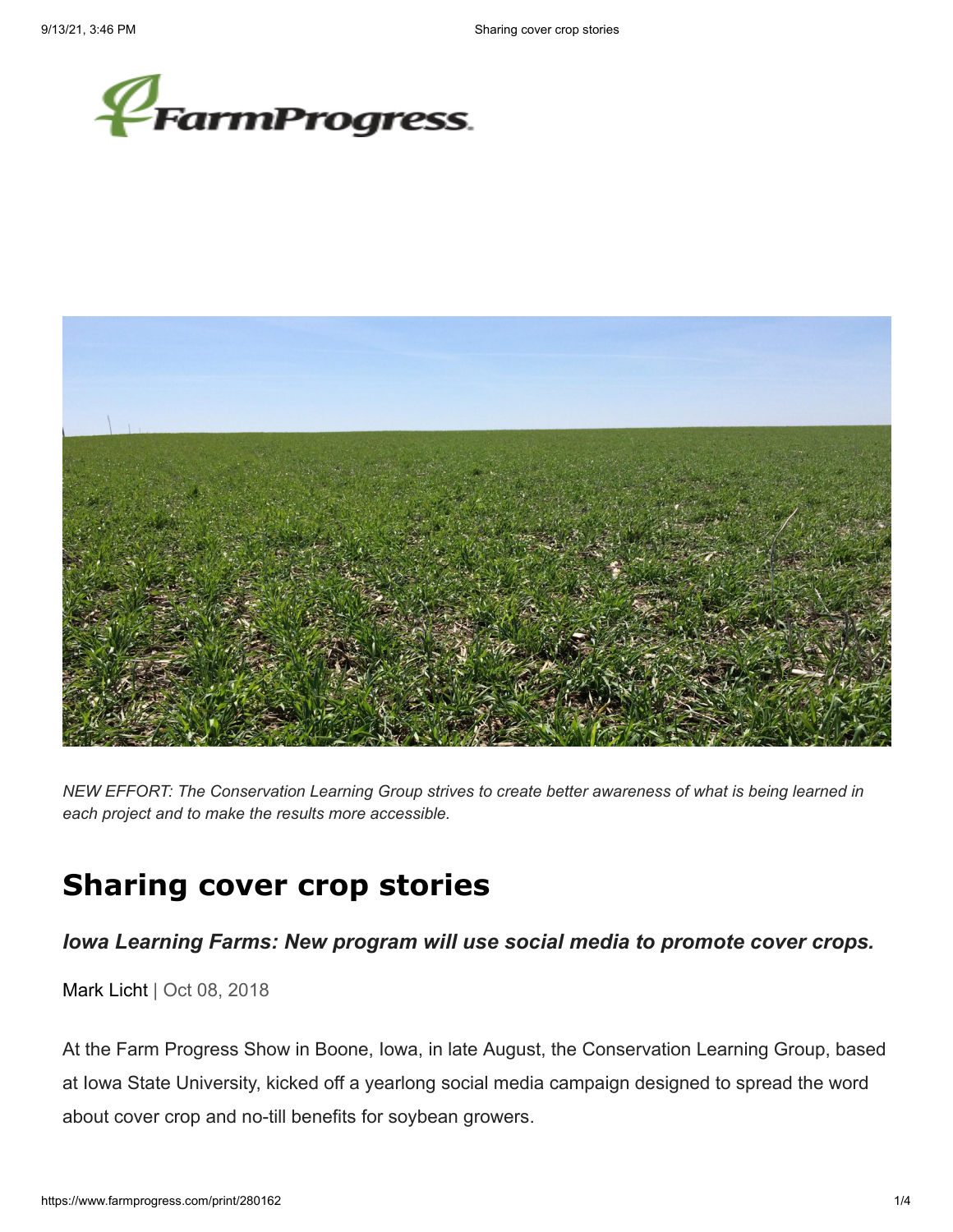



*NEW EFFORT: The Conservation Learning Group strives to create better awareness of what is being learned in each project and to make the results more accessible.*

# **Sharing cover crop stories**

## *Iowa Learning Farms: New program will use social media to promote cover crops.*

[Mark Licht](https://www.farmprogress.com/author/--216) | Oct 08, 2018

At the Farm Progress Show in Boone, Iowa, in late August, the Conservation Learning Group, based at Iowa State University, kicked off a yearlong social media campaign designed to spread the word about cover crop and no-till benefits for soybean growers.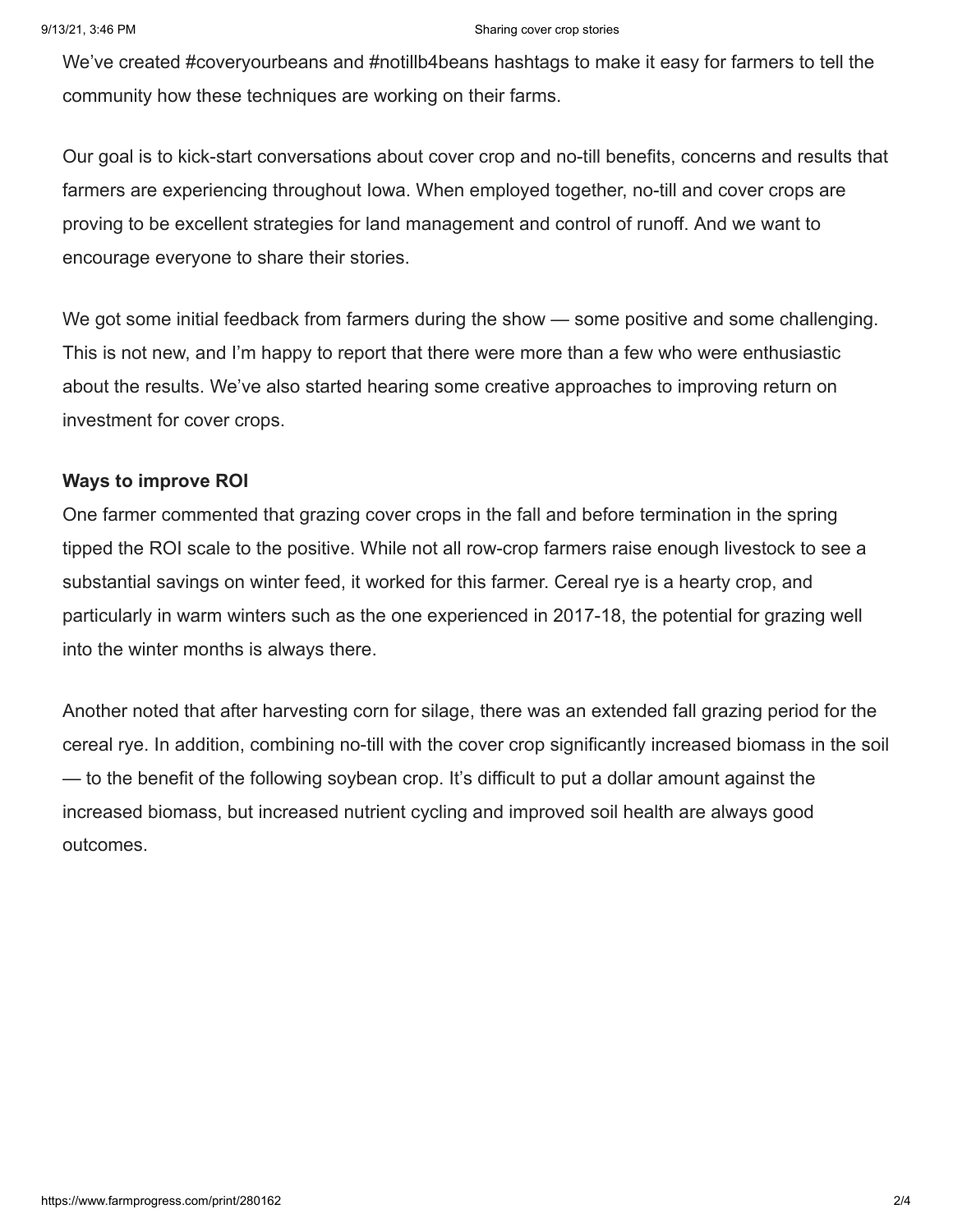#### 9/13/21, 3:46 PM Sharing cover crop stories

We've created #coveryourbeans and #notillb4beans hashtags to make it easy for farmers to tell the community how these techniques are working on their farms.

Our goal is to kick-start conversations about cover crop and no-till benefits, concerns and results that farmers are experiencing throughout Iowa. When employed together, no-till and cover crops are proving to be excellent strategies for land management and control of runoff. And we want to encourage everyone to share their stories.

We got some initial feedback from farmers during the show — some positive and some challenging. This is not new, and I'm happy to report that there were more than a few who were enthusiastic about the results. We've also started hearing some creative approaches to improving return on investment for cover crops.

#### **Ways to improve ROI**

One farmer commented that grazing cover crops in the fall and before termination in the spring tipped the ROI scale to the positive. While not all row-crop farmers raise enough livestock to see a substantial savings on winter feed, it worked for this farmer. Cereal rye is a hearty crop, and particularly in warm winters such as the one experienced in 2017-18, the potential for grazing well into the winter months is always there.

Another noted that after harvesting corn for silage, there was an extended fall grazing period for the cereal rye. In addition, combining no-till with the cover crop significantly increased biomass in the soil — to the benefit of the following soybean crop. It's difficult to put a dollar amount against the increased biomass, but increased nutrient cycling and improved soil health are always good outcomes.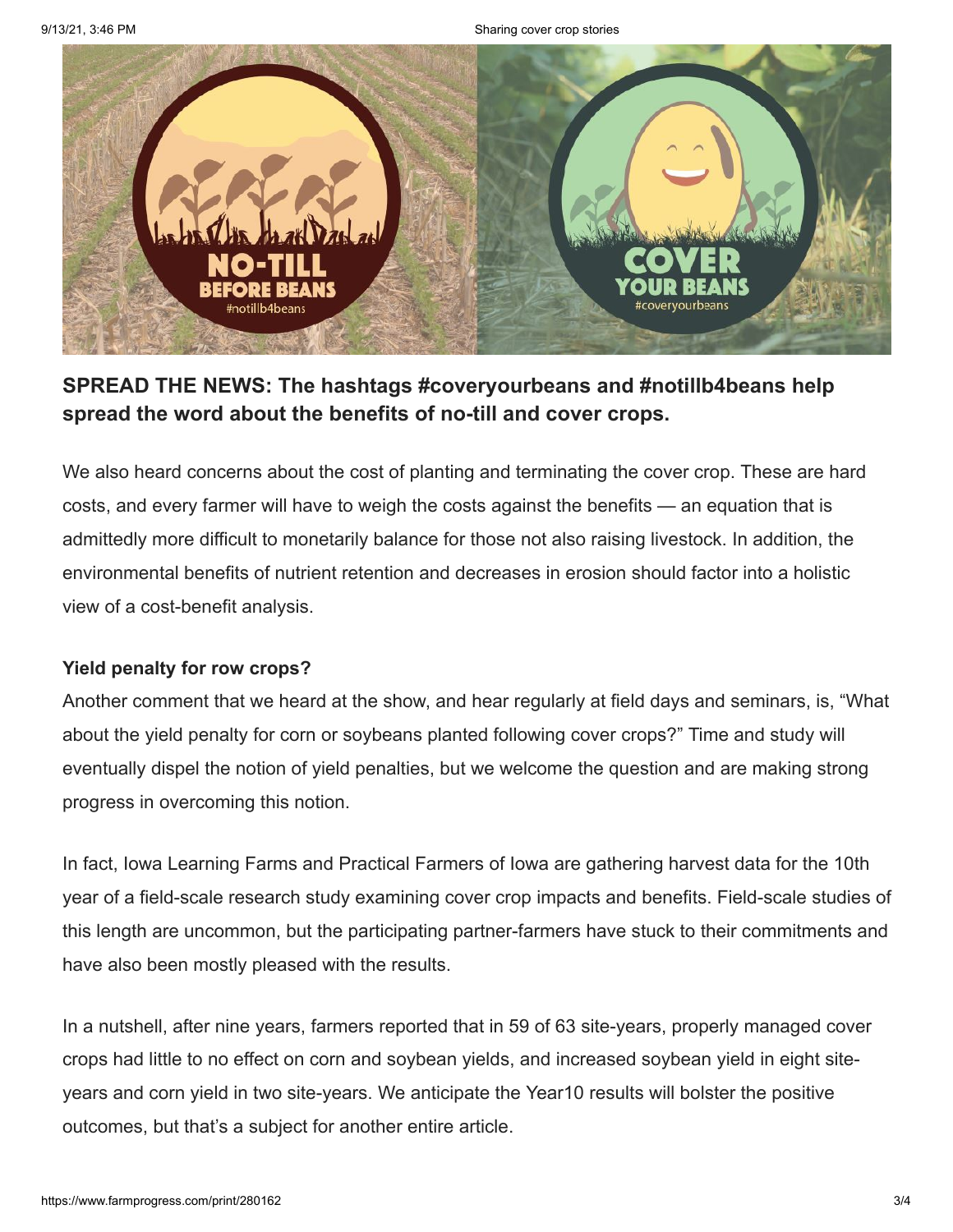

# **SPREAD THE NEWS: The hashtags #coveryourbeans and #notillb4beans help spread the word about the benefits of no-till and cover crops.**

We also heard concerns about the cost of planting and terminating the cover crop. These are hard costs, and every farmer will have to weigh the costs against the benefits — an equation that is admittedly more difficult to monetarily balance for those not also raising livestock. In addition, the environmental benefits of nutrient retention and decreases in erosion should factor into a holistic view of a cost-benefit analysis.

## **Yield penalty for row crops?**

Another comment that we heard at the show, and hear regularly at field days and seminars, is, "What about the yield penalty for corn or soybeans planted following cover crops?" Time and study will eventually dispel the notion of yield penalties, but we welcome the question and are making strong progress in overcoming this notion.

In fact, Iowa Learning Farms and Practical Farmers of Iowa are gathering harvest data for the 10th year of a field-scale research study examining cover crop impacts and benefits. Field-scale studies of this length are uncommon, but the participating partner-farmers have stuck to their commitments and have also been mostly pleased with the results.

In a nutshell, after nine years, farmers reported that in 59 of 63 site-years, properly managed cover crops had little to no effect on corn and soybean yields, and increased soybean yield in eight siteyears and corn yield in two site-years. We anticipate the Year10 results will bolster the positive outcomes, but that's a subject for another entire article.